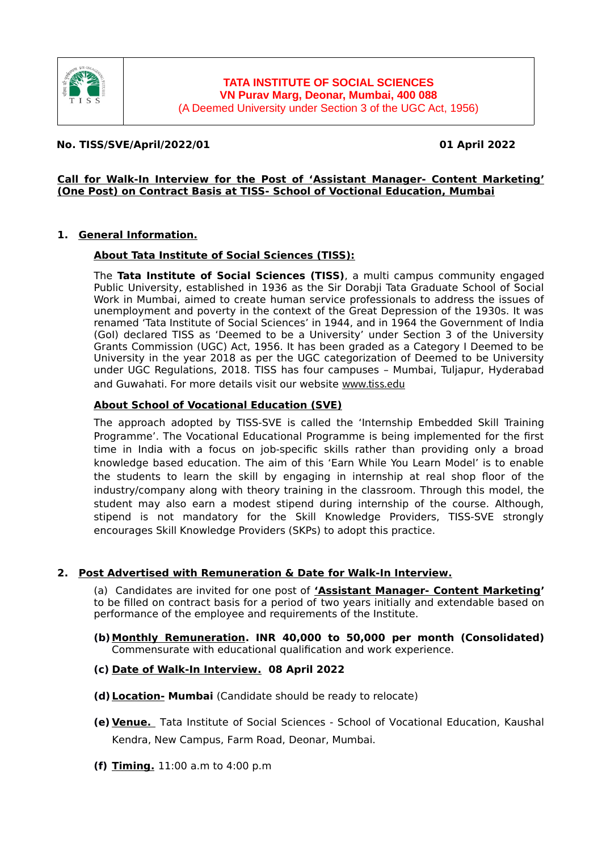

# **No. TISS/SVE/April/2022/01 01 April 2022**

#### **Call for Walk-In Interview for the Post of ' Assistant Manager- Content Marketing ' (One Post) on Contract Basis at TISS- School of Voctional Education, Mumbai**

### **1. General Information.**

## **About Tata Institute of Social Sciences (TISS):**

The **Tata Institute of Social Sciences (TISS)**, a multi campus community engaged Public University, established in 1936 as the Sir Dorabji Tata Graduate School of Social Work in Mumbai, aimed to create human service professionals to address the issues of unemployment and poverty in the context of the Great Depression of the 1930s. It was renamed 'Tata Institute of Social Sciences' in 1944, and in 1964 the Government of India (GoI) declared TISS as 'Deemed to be a University' under Section 3 of the University Grants Commission (UGC) Act, 1956. It has been graded as a Category I Deemed to be University in the year 2018 as per the UGC categorization of Deemed to be University under UGC Regulations, 2018. TISS has four campuses – Mumbai, Tuljapur, Hyderabad and Guwahati. For more details visit our website [www.tiss.edu](http://www.tiss.edu/)

## **About School of Vocational Education (SVE)**

The approach adopted by TISS-SVE is called the 'Internship Embedded Skill Training Programme'. The Vocational Educational Programme is being implemented for the first time in India with a focus on job-specific skills rather than providing only a broad knowledge based education. The aim of this 'Earn While You Learn Model' is to enable the students to learn the skill by engaging in internship at real shop floor of the industry/company along with theory training in the classroom. Through this model, the student may also earn a modest stipend during internship of the course. Although, stipend is not mandatory for the Skill Knowledge Providers, TISS-SVE strongly encourages Skill Knowledge Providers (SKPs) to adopt this practice.

### **2. Post Advertised with Remuneration & Date for Walk-In Interview .**

(a) Candidates are invited for one post of **' Assistant Manager- Content Marketing'** to be filled on contract basis for a period of two years initially and extendable based on performance of the employee and requirements of the Institute.

- **(b) Monthly Remuneration. INR 40,000 to 50,000 per month (Consolidated)** Commensurate with educational qualification and work experience.
- (c) Date of Walk-In Interview. 08 April 2022
- **(d) Location- Mumbai** (Candidate should be ready to relocate)
- **(e) Venue.** Tata Institute of Social Sciences School of Vocational Education, Kaushal Kendra, New Campus, Farm Road, Deonar, Mumbai.
- **(f) Timing.** 11:00 a.m to 4:00 p.m